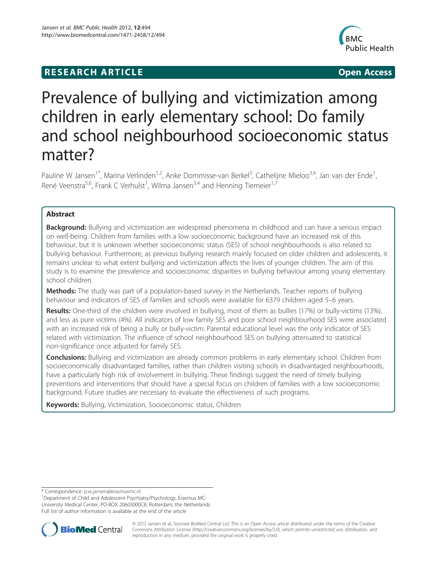## **RESEARCH ARTICLE Example 2018 12:00 Open Access**



# Prevalence of bullying and victimization among children in early elementary school: Do family and school neighbourhood socioeconomic status matter?

Pauline W Jansen<sup>1\*</sup>, Marina Verlinden<sup>1,2</sup>, Anke Dommisse-van Berkel<sup>3</sup>, Cathelijne Mieloo<sup>3,4</sup>, Jan van der Ende<sup>1</sup> , René Veenstra<sup>5,6</sup>, Frank C Verhulst<sup>1</sup>, Wilma Jansen<sup>3,4</sup> and Henning Tiemeier<sup>1,7</sup>

## Abstract

Background: Bullying and victimization are widespread phenomena in childhood and can have a serious impact on well-being. Children from families with a low socioeconomic background have an increased risk of this behaviour, but it is unknown whether socioeconomic status (SES) of school neighbourhoods is also related to bullying behaviour. Furthermore, as previous bullying research mainly focused on older children and adolescents, it remains unclear to what extent bullying and victimization affects the lives of younger children. The aim of this study is to examine the prevalence and socioeconomic disparities in bullying behaviour among young elementary school children.

Methods: The study was part of a population-based survey in the Netherlands. Teacher reports of bullying behaviour and indicators of SES of families and schools were available for 6379 children aged 5–6 years.

Results: One-third of the children were involved in bullying, most of them as bullies (17%) or bully-victims (13%), and less as pure victims (4%). All indicators of low family SES and poor school neighbourhood SES were associated with an increased risk of being a bully or bully-victim. Parental educational level was the only indicator of SES related with victimization. The influence of school neighbourhood SES on bullying attenuated to statistical non-significance once adjusted for family SES.

**Conclusions:** Bullying and victimization are already common problems in early elementary school. Children from socioeconomically disadvantaged families, rather than children visiting schools in disadvantaged neighbourhoods, have a particularly high risk of involvement in bullying. These findings suggest the need of timely bullying preventions and interventions that should have a special focus on children of families with a low socioeconomic background. Future studies are necessary to evaluate the effectiveness of such programs.

Keywords: Bullying, Victimization, Socioeconomic status, Children

<sup>1</sup>Department of Child and Adolescent Psychiatry/Psychology, Erasmus MC-University Medical Center, PO-BOX 20603000CB, Rotterdam, the Netherlands Full list of author information is available at the end of the article



© 2012 Jansen et al.; licensee BioMed Central Ltd. This is an Open Access article distributed under the terms of the Creative Commons Attribution License [\(http://creativecommons.org/licenses/by/2.0\)](http://creativecommons.org/licenses/by/2.0), which permits unrestricted use, distribution, and reproduction in any medium, provided the original work is properly cited.

<sup>\*</sup> Correspondence: [p.w.jansen@erasmusmc.nl](mailto:p.w.jansen@erasmusmc.nl) <sup>1</sup>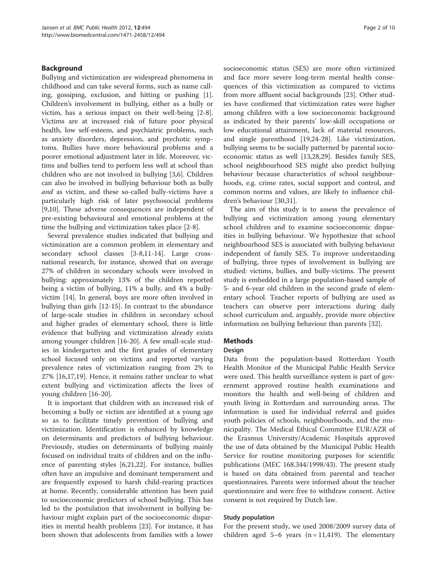## Background

Bullying and victimization are widespread phenomena in childhood and can take several forms, such as name calling, gossiping, exclusion, and hitting or pushing [\[1](#page-8-0)]. Children's involvement in bullying, either as a bully or victim, has a serious impact on their well-being [[2-8](#page-8-0)]. Victims are at increased risk of future poor physical health, low self-esteem, and psychiatric problems, such as anxiety disorders, depression, and psychotic symptoms. Bullies have more behavioural problems and a poorer emotional adjustment later in life. Moreover, victims and bullies tend to perform less well at school than children who are not involved in bullying [\[3,6](#page-8-0)]. Children can also be involved in bullying behaviour both as bully and as victim, and these so-called bully-victims have a particularly high risk of later psychosocial problems [[9,10\]](#page-8-0). These adverse consequences are independent of pre-existing behavioural and emotional problems at the time the bullying and victimization takes place [[2-8](#page-8-0)].

Several prevalence studies indicated that bullying and victimization are a common problem in elementary and secondary school classes [\[3](#page-8-0)-[8,11-14\]](#page-8-0). Large crossnational research, for instance, showed that on average 27% of children in secondary schools were involved in bullying: approximately 13% of the children reported being a victim of bullying, 11% a bully, and 4% a bullyvictim [\[14\]](#page-8-0). In general, boys are more often involved in bullying than girls [\[12-15](#page-8-0)]. In contrast to the abundance of large-scale studies in children in secondary school and higher grades of elementary school, there is little evidence that bullying and victimization already exists among younger children [\[16](#page-8-0)-[20](#page-8-0)]. A few small-scale studies in kindergarten and the first grades of elementary school focused only on victims and reported varying prevalence rates of victimization ranging from 2% to 27% [[16,17,19](#page-8-0)]. Hence, it remains rather unclear to what extent bullying and victimization affects the lives of young children [\[16](#page-8-0)-[20](#page-8-0)].

It is important that children with an increased risk of becoming a bully or victim are identified at a young age so as to facilitate timely prevention of bullying and victimization. Identification is enhanced by knowledge on determinants and predictors of bullying behaviour. Previously, studies on determinants of bullying mainly focused on individual traits of children and on the influence of parenting styles [\[6,21,22](#page-8-0)]. For instance, bullies often have an impulsive and dominant temperament and are frequently exposed to harsh child-rearing practices at home. Recently, considerable attention has been paid to socioeconomic predictors of school bullying. This has led to the postulation that involvement in bullying behaviour might explain part of the socioeconomic disparities in mental health problems [[23\]](#page-8-0). For instance, it has been shown that adolescents from families with a lower socioeconomic status (SES) are more often victimized and face more severe long-term mental health consequences of this victimization as compared to victims from more affluent social backgrounds [[23](#page-8-0)]. Other studies have confirmed that victimization rates were higher among children with a low socioeconomic background as indicated by their parents' low-skill occupations or low educational attainment, lack of material resources, and single parenthood [[19](#page-8-0),[24](#page-8-0)-[28\]](#page-9-0). Like victimization, bullying seems to be socially patterned by parental socioeconomic status as well [\[13](#page-8-0)[,28,29](#page-9-0)]. Besides family SES, school neighbourhood SES might also predict bullying behaviour because characteristics of school neighbourhoods, e.g. crime rates, social support and control, and common norms and values, are likely to influence children's behaviour [[30,31\]](#page-9-0).

The aim of this study is to assess the prevalence of bullying and victimization among young elementary school children and to examine socioeconomic disparities in bullying behaviour. We hypothesize that school neighbourhood SES is associated with bullying behaviour independent of family SES. To improve understanding of bullying, three types of involvement in bullying are studied: victims, bullies, and bully-victims. The present study is embedded in a large population-based sample of 5- and 6-year old children in the second grade of elementary school. Teacher reports of bullying are used as teachers can observe peer interactions during daily school curriculum and, arguably, provide more objective information on bullying behaviour than parents [[32\]](#page-9-0).

## **Methods**

#### Design

Data from the population-based Rotterdam Youth Health Monitor of the Municipal Public Health Service were used. This health surveillance system is part of government approved routine health examinations and monitors the health and well-being of children and youth living in Rotterdam and surrounding areas. The information is used for individual referral and guides youth policies of schools, neighbourhoods, and the municipality. The Medical Ethical Committee EUR/AZR of the Erasmus University/Academic Hospitals approved the use of data obtained by the Municipal Public Health Service for routine monitoring purposes for scientific publications (MEC 168.344/1998/43). The present study is based on data obtained from parental and teacher questionnaires. Parents were informed about the teacher questionnaire and were free to withdraw consent. Active consent is not required by Dutch law.

## Study population

For the present study, we used 2008/2009 survey data of children aged 5–6 years  $(n = 11, 419)$ . The elementary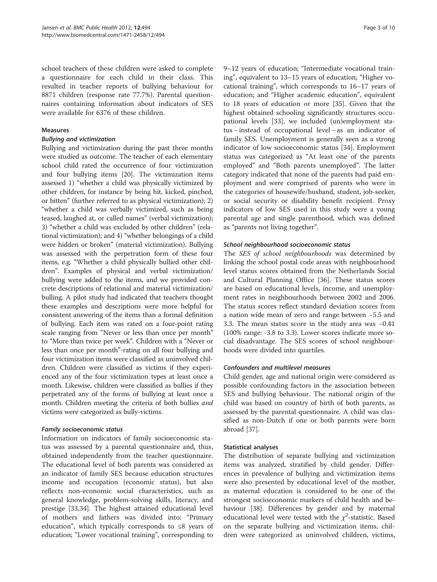school teachers of these children were asked to complete a questionnaire for each child in their class. This resulted in teacher reports of bullying behaviour for 8871 children (response rate 77.7%). Parental questionnaires containing information about indicators of SES were available for 6376 of these children.

## Measures

## Bullying and victimization

Bullying and victimization during the past three months were studied as outcome. The teacher of each elementary school child rated the occurrence of four victimization and four bullying items [\[20](#page-8-0)]. The victimization items assessed 1) "whether a child was physically victimized by other children, for instance by being hit, kicked, pinched, or bitten" (further referred to as physical victimization); 2) "whether a child was verbally victimized, such as being teased, laughed at, or called names" (verbal victimization); 3) "whether a child was excluded by other children" (relational victimization); and 4) "whether belongings of a child were hidden or broken" (material victimization). Bullying was assessed with the perpetration form of these four items, e.g. "Whether a child physically bullied other children". Examples of physical and verbal victimization/ bullying were added to the items, and we provided concrete descriptions of relational and material victimization/ bulling. A pilot study had indicated that teachers thought these examples and descriptions were more helpful for consistent answering of the items than a formal definition of bullying. Each item was rated on a four-point rating scale ranging from "Never or less than once per month" to "More than twice per week". Children with a "Never or less than once per month"-rating on all four bullying and four victimization items were classified as uninvolved children. Children were classified as victims if they experienced any of the four victimization types at least once a month. Likewise, children were classified as bullies if they perpetrated any of the forms of bullying at least once a month. Children meeting the criteria of both bullies and victims were categorized as bully-victims.

## Family socioeconomic status

Information on indicators of family socioeconomic status was assessed by a parental questionnaire and, thus, obtained independently from the teacher questionnaire. The educational level of both parents was considered as an indicator of family SES because education structures income and occupation (economic status), but also reflects non-economic social characteristics, such as general knowledge, problem-solving skills, literacy, and prestige [\[33,34](#page-9-0)]. The highest attained educational level of mothers and fathers was divided into: "Primary education", which typically corresponds to  $\leq 8$  years of education; "Lower vocational training", corresponding to 9–12 years of education; "Intermediate vocational training", equivalent to 13–15 years of education; "Higher vocational training", which corresponds to 16–17 years of education; and "Higher academic education", equivalent to 18 years of education or more [[35\]](#page-9-0). Given that the highest obtained schooling significantly structures occupational levels [\[33](#page-9-0)], we included (un)employment status − instead of occupational level − as an indicator of family SES. Unemployment is generally seen as a strong indicator of low socioeconomic status [[34\]](#page-9-0). Employment status was categorized as "At least one of the parents employed" and "Both parents unemployed". The latter category indicated that none of the parents had paid employment and were comprised of parents who were in the categories of housewife/husband, student, job-seeker, or social security or disability benefit recipient. Proxy indicators of low SES used in this study were a young parental age and single parenthood, which was defined as "parents not living together".

## School neighbourhood socioeconomic status

The SES of school neighbourhoods was determined by linking the school postal code areas with neighbourhood level status scores obtained from the Netherlands Social and Cultural Planning Office [\[36\]](#page-9-0). These status scores are based on educational levels, income, and unemployment rates in neighbourhoods between 2002 and 2006. The status scores reflect standard deviation scores from a nation wide mean of zero and range between −5.5 and 3.3. The mean status score in the study area was −0.41 (100% range: -3.8 to 3.3). Lower scores indicate more social disadvantage. The SES scores of school neighbourhoods were divided into quartiles.

## Confounders and multilevel measures

Child gender, age and national origin were considered as possible confounding factors in the association between SES and bullying behaviour. The national origin of the child was based on country of birth of both parents, as assessed by the parental questionnaire. A child was classified as non-Dutch if one or both parents were born abroad [[37\]](#page-9-0).

## Statistical analyses

The distribution of separate bullying and victimization items was analyzed, stratified by child gender. Differences in prevalence of bullying and victimization items were also presented by educational level of the mother, as maternal education is considered to be one of the strongest socioeconomic markers of child health and behaviour [[38](#page-9-0)]. Differences by gender and by maternal educational level were tested with the  $\chi^2$ -statistic. Based on the separate bullying and victimization items, children were categorized as uninvolved children, victims,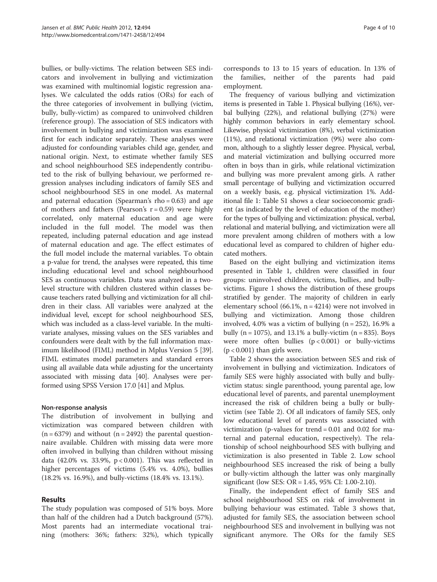bullies, or bully-victims. The relation between SES indicators and involvement in bullying and victimization was examined with multinomial logistic regression analyses. We calculated the odds ratios (ORs) for each of the three categories of involvement in bullying (victim, bully, bully-victim) as compared to uninvolved children (reference group). The association of SES indicators with involvement in bullying and victimization was examined first for each indicator separately. These analyses were adjusted for confounding variables child age, gender, and national origin. Next, to estimate whether family SES and school neighbourhood SES independently contributed to the risk of bullying behaviour, we performed regression analyses including indicators of family SES and school neighbourhood SES in one model. As maternal and paternal education (Spearman's rho = 0.63) and age of mothers and fathers (Pearson's  $r = 0.59$ ) were highly correlated, only maternal education and age were included in the full model. The model was then repeated, including paternal education and age instead of maternal education and age. The effect estimates of the full model include the maternal variables. To obtain a p-value for trend, the analyses were repeated, this time including educational level and school neighbourhood SES as continuous variables. Data was analyzed in a twolevel structure with children clustered within classes because teachers rated bullying and victimization for all children in their class. All variables were analyzed at the individual level, except for school neighbourhood SES, which was included as a class-level variable. In the multivariate analyses, missing values on the SES variables and confounders were dealt with by the full information maximum likelihood (FIML) method in Mplus Version 5 [[39](#page-9-0)]. FIML estimates model parameters and standard errors using all available data while adjusting for the uncertainty associated with missing data [\[40\]](#page-9-0). Analyses were performed using SPSS Version 17.0 [\[41\]](#page-9-0) and Mplus.

## Non-response analysis

The distribution of involvement in bullying and victimization was compared between children with  $(n = 6379)$  and without  $(n = 2492)$  the parental questionnaire available. Children with missing data were more often involved in bullying than children without missing data (42.0% vs. 33.9%,  $p < 0.001$ ). This was reflected in higher percentages of victims (5.4% vs. 4.0%), bullies (18.2% vs. 16.9%), and bully-victims (18.4% vs. 13.1%).

## Results

The study population was composed of 51% boys. More than half of the children had a Dutch background (57%). Most parents had an intermediate vocational training (mothers: 36%; fathers: 32%), which typically corresponds to 13 to 15 years of education. In 13% of the families, neither of the parents had paid employment.

The frequency of various bullying and victimization items is presented in Table [1](#page-4-0). Physical bullying (16%), verbal bullying (22%), and relational bullying (27%) were highly common behaviors in early elementary school. Likewise, physical victimization (8%), verbal victimization (11%), and relational victimization (9%) were also common, although to a slightly lesser degree. Physical, verbal, and material victimization and bullying occurred more often in boys than in girls, while relational victimization and bullying was more prevalent among girls. A rather small percentage of bullying and victimization occurred on a weekly basis, e.g. physical victimization 1%. Additional file [1:](#page-8-0) Table S1 shows a clear socioeconomic gradient (as indicated by the level of education of the mother) for the types of bullying and victimization: physical, verbal, relational and material bullying, and victimization were all more prevalent among children of mothers with a low educational level as compared to children of higher educated mothers.

Based on the eight bullying and victimization items presented in Table [1](#page-4-0), children were classified in four groups: uninvolved children, victims, bullies, and bullyvictims. Figure [1](#page-7-0) shows the distribution of these groups stratified by gender. The majority of children in early elementary school  $(66.1\%, n = 4214)$  were not involved in bullying and victimization. Among those children involved, 4.0% was a victim of bullying  $(n = 252)$ , 16.9% a bully ( $n = 1075$ ), and 13.1% a bully-victim ( $n = 835$ ). Boys were more often bullies  $(p < 0.001)$  or bully-victims  $(p < 0.001)$  than girls were.

Table [2](#page-5-0) shows the association between SES and risk of involvement in bullying and victimization. Indicators of family SES were highly associated with bully and bullyvictim status: single parenthood, young parental age, low educational level of parents, and parental unemployment increased the risk of children being a bully or bullyvictim (see Table [2](#page-5-0)). Of all indicators of family SES, only low educational level of parents was associated with victimization (p-values for trend = 0.01 and 0.02 for maternal and paternal education, respectively). The relationship of school neighbourhood SES with bullying and victimization is also presented in Table [2](#page-5-0). Low school neighbourhood SES increased the risk of being a bully or bully-victim although the latter was only marginally significant (low SES: OR = 1.45, 95% CI: 1.00-2.10).

Finally, the independent effect of family SES and school neighbourhood SES on risk of involvement in bullying behaviour was estimated. Table [3](#page-6-0) shows that, adjusted for family SES, the association between school neighbourhood SES and involvement in bullying was not significant anymore. The ORs for the family SES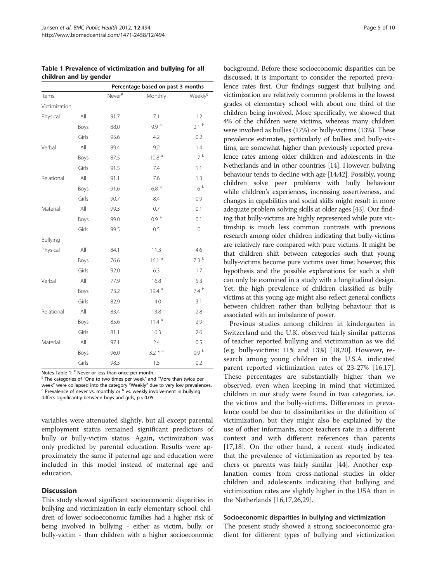|               |       |                    | Percentage based on past 3 months |                     |  |  |
|---------------|-------|--------------------|-----------------------------------|---------------------|--|--|
| Items         |       | Never <sup>#</sup> | Monthly                           | Weekly <sup>§</sup> |  |  |
| Victimization |       |                    |                                   |                     |  |  |
| Physical      | All   | 91.7               | 7.1                               | 1.2                 |  |  |
|               | Boys  | 88.0               | 9.9 <sup>a</sup>                  | 2.1 <sup>b</sup>    |  |  |
|               | Girls | 95.6               | 4.2                               | 0.2                 |  |  |
| Verbal        | All   | 89.4               | 9.2                               | 1.4                 |  |  |
|               | Boys  | 87.5               | 10.8 <sup>a</sup>                 | 1.7 <sup>b</sup>    |  |  |
|               | Girls | 91.5               | 7.4                               | 1.1                 |  |  |
| Relational    | All   | 91.1               | 7.6                               | 1.3                 |  |  |
|               | Boys  | 91.6               | 6.8 <sup>a</sup>                  | 1.6 <sup>b</sup>    |  |  |
|               | Girls | 90.7               | 8.4                               | 0.9                 |  |  |
| Material      | All   | 99.3               | 0.7                               | 0.1                 |  |  |
|               | Boys  | 99.0               | 0.9 <sup>a</sup>                  | 0.1                 |  |  |
|               | Girls | 99.5               | 0.5                               | $\mathbf 0$         |  |  |
| Bullying      |       |                    |                                   |                     |  |  |
| Physical      | All   | 84.1               | 11.3                              | 4.6                 |  |  |
|               | Boys  | 76.6               | 16.1 <sup>a</sup>                 | 7.3 <sup>b</sup>    |  |  |
|               | Girls | 92.0               | 6.3                               | 1.7                 |  |  |
| Verbal        | All   | 77.9               | 16.8                              | 5.3                 |  |  |
|               | Boys  | 73.2               | 19.4 <sup>a</sup>                 | $7.4^{b}$           |  |  |
|               | Girls | 82.9               | 14.0                              | 3.1                 |  |  |
| Relational    | All   | 83.4               | 13.8                              | 2.8                 |  |  |
|               | Boys  | 85.6               | 11.4 <sup>a</sup>                 | 2.9                 |  |  |
|               | Girls | 81.1               | 16.3                              | 2.6                 |  |  |
| Material      | All   | 97.1               | 2.4                               | 0.5                 |  |  |
|               | Boys  | 96.0               | $3.2 * a$                         | 0.9 <sup>b</sup>    |  |  |
|               | Girls | 98.3               | 1.5                               | 0.2                 |  |  |

<span id="page-4-0"></span>Table 1 Prevalence of victimization and bullying for all children and by gender

Notes Table 1: # Never or less than once per month.

<sup>§</sup> The categories of "One to two times per week" and "More than twice per week" were collapsed into the category "Weekly" due to very low prevalences. <sup>a</sup> Prevalence of never vs. monthly or <sup>b</sup> vs. weekly involvement in bullying differs significantly between boys and girls, p < 0.05.

variables were attenuated slightly, but all except parental employment status remained significant predictors of bully or bully-victim status. Again, victimization was only predicted by parental education. Results were approximately the same if paternal age and education were included in this model instead of maternal age and education.

#### **Discussion**

This study showed significant socioeconomic disparities in bullying and victimization in early elementary school: children of lower socioeconomic families had a higher risk of being involved in bullying - either as victim, bully, or bully-victim - than children with a higher socioeconomic

background. Before these socioeconomic disparities can be discussed, it is important to consider the reported prevalence rates first. Our findings suggest that bullying and victimization are relatively common problems in the lowest grades of elementary school with about one third of the children being involved. More specifically, we showed that 4% of the children were victims, whereas many children were involved as bullies (17%) or bully-victims (13%). These prevalence estimates, particularly of bullies and bully-victims, are somewhat higher than previously reported prevalence rates among older children and adolescents in the Netherlands and in other countries [\[14\]](#page-8-0). However, bullying behaviour tends to decline with age [[14](#page-8-0)[,42\]](#page-9-0). Possibly, young children solve peer problems with bully behaviour while children's experiences, increasing assertiveness, and changes in capabilities and social skills might result in more adequate problem solving skills at older ages [\[43](#page-9-0)]. Our finding that bully-victims are highly represented while pure victimship is much less common contrasts with previous research among older children indicating that bully-victims are relatively rare compared with pure victims. It might be that children shift between categories such that young bully-victims become pure victims over time; however, this hypothesis and the possible explanations for such a shift can only be examined in a study with a longitudinal design. Yet, the high prevalence of children classified as bullyvictims at this young age might also reflect general conflicts between children rather than bullying behaviour that is associated with an imbalance of power.

Previous studies among children in kindergarten in Switzerland and the U.K. observed fairly similar patterns of teacher reported bullying and victimization as we did (e.g. bully-victims: 11% and 13%) [[18,20\]](#page-8-0). However, research among young children in the U.S.A. indicated parent reported victimization rates of 23-27% [\[16,17](#page-8-0)]. These percentages are substantially higher than we observed, even when keeping in mind that victimized children in our study were found in two categories, i.e. the victims and the bully-victims. Differences in prevalence could be due to dissimilarities in the definition of victimization, but they might also be explained by the use of other informants, since teachers rate in a different context and with different references than parents [[17,18\]](#page-8-0). On the other hand, a recent study indicated that the prevalence of victimization as reported by teachers or parents was fairly similar [\[44](#page-9-0)]. Another explanation comes from cross-national studies in older children and adolescents indicating that bullying and victimization rates are slightly higher in the USA than in the Netherlands [\[16,17,26](#page-8-0)[,29](#page-9-0)].

#### Socioeconomic disparities in bullying and victimization

The present study showed a strong socioeconomic gradient for different types of bullying and victimization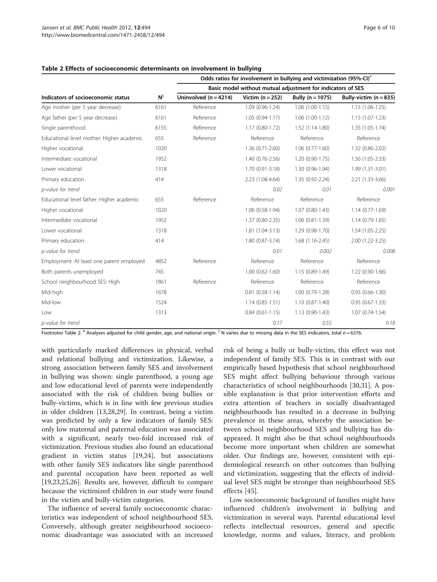|                                           |          | Odds ratios for involvement in bullying and victimization $(95\% - C)$ <sup>#</sup> |                     |                        |                          |  |
|-------------------------------------------|----------|-------------------------------------------------------------------------------------|---------------------|------------------------|--------------------------|--|
|                                           | $N^{\S}$ | Basic model without mutual adjustment for indicators of SES                         |                     |                        |                          |  |
| Indicators of socioeconomic status        |          | Uninvolved $(n = 4214)$                                                             | Victim $(n = 252)$  | Bully ( $n = 1075$ )   | Bully-victim $(n = 835)$ |  |
| Age mother (per 5 year decrease)          | 6161     | Reference                                                                           | $1.09(0.96 - 1.24)$ | $1.06(1.00-1.15)$      | $1.15(1.06-1.25)$        |  |
| Age father (per 5 year decrease)          | 6161     | Reference                                                                           | $1.05(0.94 - 1.17)$ | $1.06(1.00-1.12)$      | $1.15(1.07-1.23)$        |  |
| Single parenthood                         | 6155     | Reference                                                                           | $1.17(0.80-1.72)$   | 1.52 (1.14-1.80)       | 1.35 (1.05-1.74)         |  |
| Educational level mother: Higher academic | 655      | Reference                                                                           | Reference           | Reference              | Reference                |  |
| Higher vocational                         | 1020     |                                                                                     | 1.36 (0.71-2.60)    | $1.06$ $(0.77 - 1.60)$ | 1.32 (0.86-2.02)         |  |
| Intermediate vocational                   | 1952     |                                                                                     | 1.40 (0.76-2.56)    | $1.20(0.90-1.75)$      | 1.56 (1.05-2.33)         |  |
| Lower vocational                          | 1318     |                                                                                     | 1.70 (0.91-3.18)    | 1.30 (0.96-1.94)       | 1.99 (1.31-3.01)         |  |
| Primary education                         | 414      |                                                                                     | 2.23 (1.08-4.64)    | 1.35 (0.92-2.24)       | 2.21 (1.33-3.66)         |  |
| p-value for trend                         |          |                                                                                     | 0.02                | 0.01                   | 0.001                    |  |
| Educational level father: Higher academic | 655      | Reference                                                                           | Reference           | Reference              | Reference                |  |
| Higher vocational                         | 1020     |                                                                                     | 1.06 (0.58-1.94)    | $1.07(0.80-1.43)$      | $1.14(0.77-1.69)$        |  |
| Intermediate vocational                   | 1952     |                                                                                     | 1.37 (0.80-2.35)    | $1.06(0.81 - 1.39)$    | $1.14(0.79-1.65)$        |  |
| Lower vocational                          | 1318     |                                                                                     | $1.81(1.04-3.13)$   | 1.29 (0.98-1.70)       | 1.54 (1.05-2.25)         |  |
| Primary education                         | 414      |                                                                                     | 1.80 (0.87-3.74)    | $1.68(1.16-2.45)$      | 2.00 (1.22-3.25)         |  |
| p-value for trend                         |          |                                                                                     | 0.01                | 0.002                  | 0.008                    |  |
| Employment: At least one parent employed  | 4852     | Reference                                                                           | Reference           | Reference              | Reference                |  |
| Both parents unemployed                   | 745      |                                                                                     | $1.00(0.62 - 1.60)$ | 1.15 (0.89-1.49)       | 1.22 (0.90-1.66)         |  |
| School neighbourhood SES: High            | 1861     | Reference                                                                           | Reference           | Reference              | Reference                |  |
| Mid-high                                  | 1678     |                                                                                     | $0.81(0.58-1.14)$   | 1.00 (0.79-1.28)       | $0.93(0.66 - 1.30)$      |  |
| Mid-low                                   | 1524     |                                                                                     | 1.14 (0.85-1.51)    | $1.10(0.87 - 1.40)$    | $0.95(0.67 - 1.33)$      |  |
| Low                                       | 1313     |                                                                                     | $0.84(0.61 - 1.15)$ | $1.13(0.90-1.43)$      | $1.07(0.74-1.54)$        |  |
| p-value for trend                         |          |                                                                                     | 0.17                | 0.55                   | 0.18                     |  |

#### <span id="page-5-0"></span>Table 2 Effects of socioeconomic determinants on involvement in bullying

Footnotes Table 2:  $*$  Analyses adjusted for child gender, age, and national origin.  $§$  N varies due to missing data in the SES indicators, total n = 6376.

with particularly marked differences in physical, verbal and relational bullying and victimization. Likewise, a strong association between family SES and involvement in bullying was shown: single parenthood, a young age and low educational level of parents were independently associated with the risk of children being bullies or bully-victims, which is in line with few previous studies in older children [[13,](#page-8-0)[28,29](#page-9-0)]. In contrast, being a victim was predicted by only a few indicators of family SES: only low maternal and paternal education was associated with a significant, nearly two-fold increased risk of victimization. Previous studies also found an educational gradient in victim status [\[19,24](#page-8-0)], but associations with other family SES indicators like single parenthood and parental occupation have been reported as well [[19,23,25,26\]](#page-8-0). Results are, however, difficult to compare because the victimized children in our study were found in the victim and bully-victim categories.

The influence of several family socioeconomic characteristics was independent of school neighbourhood SES. Conversely, although greater neighbourhood socioeconomic disadvantage was associated with an increased risk of being a bully or bully-victim, this effect was not independent of family SES. This is in contrast with our empirically based hypothesis that school neighbourhood SES might affect bullying behaviour through various characteristics of school neighbourhoods [[30,31\]](#page-9-0). A possible explanation is that prior intervention efforts and extra attention of teachers in socially disadvantaged neighbourhoods has resulted in a decrease in bullying prevalence in these areas, whereby the association between school neighbourhood SES and bullying has disappeared. It might also be that school neighbourhoods become more important when children are somewhat older. Our findings are, however, consistent with epidemiological research on other outcomes than bullying and victimization, suggesting that the effects of individual level SES might be stronger than neighbourhood SES effects [[45\]](#page-9-0).

Low socioeconomic background of families might have influenced children's involvement in bullying and victimization in several ways. Parental educational level reflects intellectual resources, general and specific knowledge, norms and values, literacy, and problem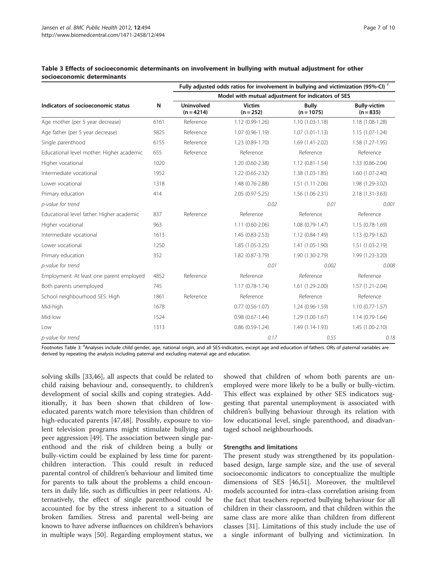|                                           |      | Fully adjusted odds ratios for involvement in bullying and victimization (95%-CI) <sup>#</sup><br>Model with mutual adjustment for indicators of SES |                              |                              |                                    |  |
|-------------------------------------------|------|------------------------------------------------------------------------------------------------------------------------------------------------------|------------------------------|------------------------------|------------------------------------|--|
|                                           |      |                                                                                                                                                      |                              |                              |                                    |  |
| Indicators of socioeconomic status        | N    | <b>Uninvolved</b><br>$(n = 4214)$                                                                                                                    | <b>Victim</b><br>$(n = 252)$ | <b>Bully</b><br>$(n = 1075)$ | <b>Bully-victim</b><br>$(n = 835)$ |  |
| Age mother (per 5 year decrease)          | 6161 | Reference                                                                                                                                            | 1.12 (0.99-1.26)             | $1.10(1.03-1.18)$            | 1.18 (1.08-1.28)                   |  |
| Age father (per 5 year decrease)          | 5825 | Reference                                                                                                                                            | $1.07(0.96 - 1.19)$          | $1.07(1.01 - 1.13)$          | $1.15(1.07-1.24)$                  |  |
| Single parenthood                         | 6155 | Reference                                                                                                                                            | 1.23 (0.89-1.70)             | 1.69 (1.41-2.02)             | 1.58 (1.27-1.95)                   |  |
| Educational level mother: Higher academic | 655  | Reference                                                                                                                                            | Reference                    | Reference                    | Reference                          |  |
| Higher vocational                         | 1020 |                                                                                                                                                      | 1.20 (0.60-2.38)             | $1.12(0.81 - 1.54)$          | 1.33 (0.86-2.04)                   |  |
| Intermediate vocational                   | 1952 |                                                                                                                                                      | $1.22(0.65 - 2.32)$          | 1.38 (1.03-1.85)             | 1.60 (1.07-2.40)                   |  |
| Lower vocational                          | 1318 |                                                                                                                                                      | 1.48 (0.76-2.88)             | $1.51(1.11-2.06)$            | 1.98 (1.29-3.02)                   |  |
| Primary education                         | 414  |                                                                                                                                                      | 2.05 (0.97-5.25)             | 1.56 (1.06-2.31)             | 2.18 (1.31-3.63)                   |  |
| p-value for trend                         |      |                                                                                                                                                      | 0.02                         | 0.01                         | 0.001                              |  |
| Educational level father: Higher academic | 837  | Reference                                                                                                                                            | Reference                    | Reference                    | Reference                          |  |
| Higher vocational                         | 963  |                                                                                                                                                      | $1.11(0.60 - 2.06)$          | 1.08 (0.79-1.47)             | 1.15 (0.78-1.69)                   |  |
| Intermediate vocational                   | 1613 |                                                                                                                                                      | $1.45(0.83 - 2.53)$          | 1.12 (0.84-1.49)             | $1.13(0.79-1.62)$                  |  |
| Lower vocational                          | 1250 |                                                                                                                                                      | $1.85(1.05-3.25)$            | 1.41 (1.05-1.90)             | 1.51 (1.03-2.19)                   |  |
| Primary education                         | 352  |                                                                                                                                                      | 1.82 (0.87-3.79)             | 1.90 (1.30-2.79)             | 1.99 (1.23-3.20)                   |  |
| p-value for trend                         |      |                                                                                                                                                      | 0.01                         | 0.002                        | 0.008                              |  |
| Employment: At least one parent employed  | 4852 | Reference                                                                                                                                            | Reference                    | Reference                    | Reference                          |  |
| Both parents unemployed                   | 745  |                                                                                                                                                      | $1.17(0.78-1.74)$            | 1.61 (1.29-2.00)             | 1.57 (1.21-2.04)                   |  |
| School neighbourhood SES: High            | 1861 | Reference                                                                                                                                            | Reference                    | Reference                    | Reference                          |  |
| Mid-high                                  | 1678 |                                                                                                                                                      | $0.77(0.56 - 1.07)$          | 1.24 (0.96-1.59)             | $1.10(0.77 - 1.57)$                |  |
| Mid-low                                   | 1524 |                                                                                                                                                      | $0.98(0.67 - 1.44)$          | 1.29 (1.00-1.67)             | $1.14(0.79-1.64)$                  |  |
| Low                                       | 1313 |                                                                                                                                                      | $0.86(0.59-1.24)$            | 1.49 (1.14-1.93)             | 1.45 (1.00-2.10)                   |  |
| p-value for trend                         |      |                                                                                                                                                      | 0.17                         | 0.55                         | 0.18                               |  |

#### <span id="page-6-0"></span>Table 3 Effects of socioeconomic determinants on involvement in bullying with mutual adjustment for other socioeconomic determinants

Footnotes Table 3: # Analyses include child gender, age, national origin, and all SES-indicators, except age and education of fathers. ORs of paternal variables are derived by repeating the analysis including paternal and excluding maternal age and education.

solving skills [[33](#page-9-0),[46](#page-9-0)], all aspects that could be related to child raising behaviour and, consequently, to children's development of social skills and coping strategies. Additionally, it has been shown that children of loweducated parents watch more television than children of high-educated parents [[47](#page-9-0),[48](#page-9-0)]. Possibly, exposure to violent television programs might stimulate bullying and peer aggression [[49\]](#page-9-0). The association between single parenthood and the risk of children being a bully or bully-victim could be explained by less time for parentchildren interaction. This could result in reduced parental control of children's behaviour and limited time for parents to talk about the problems a child encounters in daily life, such as difficulties in peer relations. Alternatively, the effect of single parenthood could be accounted for by the stress inherent to a situation of broken families. Stress and parental well-being are known to have adverse influences on children's behaviors in multiple ways [[50\]](#page-9-0). Regarding employment status, we

showed that children of whom both parents are unemployed were more likely to be a bully or bully-victim. This effect was explained by other SES indicators suggesting that parental unemployment is associated with children's bullying behaviour through its relation with low educational level, single parenthood, and disadvantaged school neighbourhoods.

## Strengths and limitations

The present study was strengthened by its populationbased design, large sample size, and the use of several socioeconomic indicators to conceptualize the multiple dimensions of SES [\[46,51](#page-9-0)]. Moreover, the multilevel models accounted for intra-class correlation arising from the fact that teachers reported bullying behaviour for all children in their classroom, and that children within the same class are more alike than children from different classes [[31\]](#page-9-0). Limitations of this study include the use of a single informant of bullying and victimization. In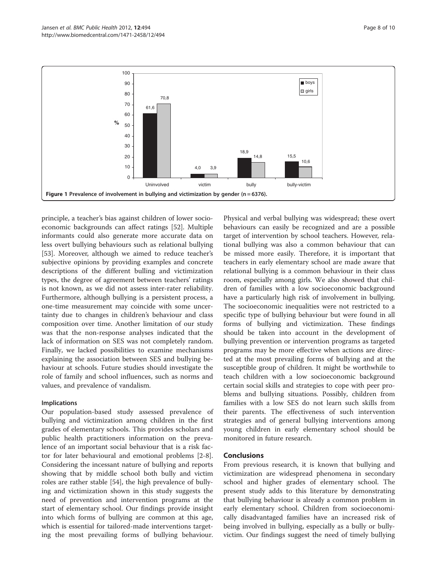

<span id="page-7-0"></span>

principle, a teacher's bias against children of lower socioeconomic backgrounds can affect ratings [\[52](#page-9-0)]. Multiple informants could also generate more accurate data on less overt bullying behaviours such as relational bullying [[53\]](#page-9-0). Moreover, although we aimed to reduce teacher's subjective opinions by providing examples and concrete descriptions of the different bulling and victimization types, the degree of agreement between teachers' ratings is not known, as we did not assess inter-rater reliability. Furthermore, although bullying is a persistent process, a one-time measurement may coincide with some uncertainty due to changes in children's behaviour and class composition over time. Another limitation of our study was that the non-response analyses indicated that the lack of information on SES was not completely random. Finally, we lacked possibilities to examine mechanisms explaining the association between SES and bullying behaviour at schools. Future studies should investigate the role of family and school influences, such as norms and values, and prevalence of vandalism.

## Implications

Our population-based study assessed prevalence of bullying and victimization among children in the first grades of elementary schools. This provides scholars and public health practitioners information on the prevalence of an important social behaviour that is a risk factor for later behavioural and emotional problems [[2-8](#page-8-0)]. Considering the incessant nature of bullying and reports showing that by middle school both bully and victim roles are rather stable [[54\]](#page-9-0), the high prevalence of bullying and victimization shown in this study suggests the need of prevention and intervention programs at the start of elementary school. Our findings provide insight into which forms of bullying are common at this age, which is essential for tailored-made interventions targeting the most prevailing forms of bullying behaviour.

Physical and verbal bullying was widespread; these overt behaviours can easily be recognized and are a possible target of intervention by school teachers. However, relational bullying was also a common behaviour that can be missed more easily. Therefore, it is important that teachers in early elementary school are made aware that relational bullying is a common behaviour in their class room, especially among girls. We also showed that children of families with a low socioeconomic background have a particularly high risk of involvement in bullying. The socioeconomic inequalities were not restricted to a specific type of bullying behaviour but were found in all forms of bullying and victimization. These findings should be taken into account in the development of bullying prevention or intervention programs as targeted programs may be more effective when actions are directed at the most prevailing forms of bullying and at the susceptible group of children. It might be worthwhile to teach children with a low socioeconomic background certain social skills and strategies to cope with peer problems and bullying situations. Possibly, children from families with a low SES do not learn such skills from their parents. The effectiveness of such intervention strategies and of general bullying interventions among young children in early elementary school should be monitored in future research.

## Conclusions

From previous research, it is known that bullying and victimization are widespread phenomena in secondary school and higher grades of elementary school. The present study adds to this literature by demonstrating that bullying behaviour is already a common problem in early elementary school. Children from socioeconomically disadvantaged families have an increased risk of being involved in bullying, especially as a bully or bullyvictim. Our findings suggest the need of timely bullying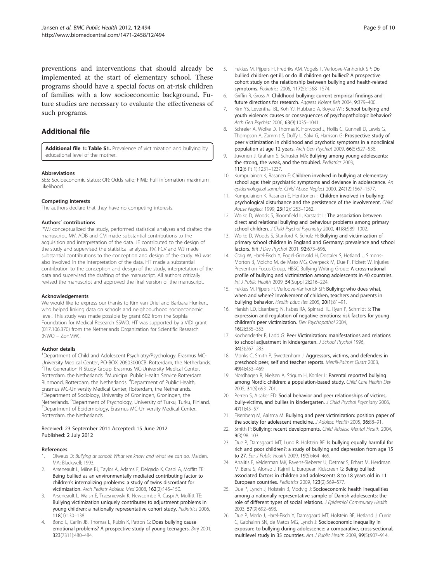<span id="page-8-0"></span>preventions and interventions that should already be implemented at the start of elementary school. These programs should have a special focus on at-risk children of families with a low socioeconomic background. Future studies are necessary to evaluate the effectiveness of such programs.

## Additional file

[Additional file 1: Table S1.](http://www.biomedcentral.com/content/supplementary/1471-2458-12-494-S1.docx) Prevalence of victimization and bullying by educational level of the mother.

#### **Abbreviations**

SES: Socioeconomic status; OR: Odds ratio; FIML: Full information maximum likelihood.

#### Competing interests

The authors declare that they have no competing interests.

#### Authors' contributions

PWJ conceptualized the study, performed statistical analyses and drafted the manuscript. MV, ADB and CM made substantial contributions to the acquisition and interpretation of the data. JE contributed to the design of the study and supervised the statistical analyses. RV, FCV and WJ made substantial contributions to the conception and design of the study. WJ was also involved in the interpretation of the data. HT made a substantial contribution to the conception and design of the study, interpretation of the data and supervised the drafting of the manuscript. All authors critically revised the manuscript and approved the final version of the manuscript.

#### Acknowledgements

We would like to express our thanks to Kim van Driel and Barbara Flunkert, who helped linking data on schools and neighbourhood socioeconomic level. This study was made possible by grant 602 from the Sophia Foundation for Medical Research SSWO. HT was supported by a VIDI grant (017.106.370) from the Netherlands Organization for Scientific Research (NWO – ZonMW).

#### Author details

<sup>1</sup>Department of Child and Adolescent Psychiatry/Psychology, Erasmus MC-University Medical Center, PO-BOX 20603000CB, Rotterdam, the Netherlands. <sup>2</sup>The Generation R Study Group, Erasmus MC-University Medical Center, Rotterdam, the Netherlands. <sup>3</sup> Municipal Public Health Service Rotterdam Rijnmond, Rotterdam, the Netherlands. <sup>4</sup>Department of Public Health, Erasmus MC-University Medical Center, Rotterdam, the Netherlands. 5 Department of Sociology, University of Groningen, Groningen, the Netherlands. <sup>6</sup>Department of Psychology, University of Turku, Turku, Finland.<br><sup>7</sup>Department of Epidemialogy, Framus MC University Modical Conter <sup>7</sup> Department of Epidemiology, Erasmus MC-University Medical Center, Rotterdam, the Netherlands.

#### Received: 23 September 2011 Accepted: 15 June 2012 Published: 2 July 2012

#### References

- Olweus D: Bullying at school: What we know and what we can do. Malden, MA: Blackwell; 1993.
- 2. Arseneault L, Milne BJ, Taylor A, Adams F, Delgado K, Caspi A, Moffitt TE: Being bullied as an environmentally mediated contributing factor to children's internalizing problems: a study of twins discordant for victimization. Arch Pediatr Adolesc Med 2008, 162(2):145–150.
- 3. Arseneault L, Walsh E, Trzesniewski K, Newcombe R, Caspi A, Moffitt TE: Bullying victimization uniquely contributes to adjustment problems in young children: a nationally representative cohort study. Pediatrics 2006, 118(1):130–138.
- 4. Bond L, Carlin JB, Thomas L, Rubin K, Patton G: Does bullying cause emotional problems? A prospective study of young teenagers. Bmj 2001, 323(7311):480–484.
- 5. Fekkes M, Pijpers FI, Fredriks AM, Vogels T, Verloove-Vanhorick SP: Do bullied children get ill, or do ill children get bullied? A prospective cohort study on the relationship between bullying and health-related symptoms. Pediatrics 2006, 117(5):1568-1574.
- 6. Griffin R, Gross A: Childhood bullying: current empirical findings and future directions for research. Aggress Violent Beh 2004, 9:379–400.
- 7. Kim YS, Leventhal BL, Koh YJ, Hubbard A, Boyce WT: School bullying and youth violence: causes or consequences of psychopathologic behavior? Arch Gen Psychiat 2006, 63(9):1035–1041.
- 8. Schreier A, Wolke D, Thomas K, Horwood J, Hollis C, Gunnell D, Lewis G, Thompson A, Zammit S, Duffy L, Salvi G, Harrison G: Prospective study of peer victimization in childhood and psychotic symptoms in a nonclinical population at age 12 years. Arch Gen Psychiat 2009, 66(5):527–536.
- 9. Juvonen J, Graham S, Schuster MA: Bullying among young adolescents: the strong, the weak, and the troubled. Pediatrics 2003, 112(6 Pt 1):1231–1237.
- 10. Kumpulainen K, Rasanen E: Children involved in bullying at elementary school age: their psychiatric symptoms and deviance in adolescence. An epidemiological sample. Child Abuse Neglect 2000, 24(12):1567–1577.
- 11. Kumpulainen K, Rasanen E, Henttonen I: Children involved in bullying: psychological disturbance and the persistence of the involvement. Child Abuse Neglect 1999, 23(12):1253-1262.
- 12. Wolke D, Woods S, Bloomfield L, Karstadt L: The association between direct and relational bullying and behaviour problems among primary school children. J Child Psychol Psychiatry 2000, 41(8):989–1002.
- 13. Wolke D, Woods S, Stanford K, Schulz H: Bullying and victimization of primary school children in England and Germany: prevalence and school factors. Brit J Dev Psychol 2001, 92:673–696.
- 14. Craig W, Harel-Fisch Y, Fogel-Grinvald H, Dostaler S, Hetland J, Simons-Morton B, Molcho M, de Mato MG, Overpeck M, Due P, Pickett W, Injuries Prevention Focus Group, HBSC Bullying Writing Group: A cross-national profile of bullying and victimization among adolescents in 40 countries. Int J Public Health 2009, 54(Suppl 2):216–224.
- 15. Fekkes M, Pijpers FI, Verloove-Vanhorick SP: Bullying: who does what, when and where? Involvement of children, teachers and parents in bullying behavior. Health Educ Res 2005, 20(1):81-91.
- 16. Hanish LD, Eisenberg N, Fabes RA, Spinrad TL, Ryan P, Schmidt S: The expression and regulation of negative emotions: risk factors for young children's peer victimization. Dev Psychopathol 2004, 16(2):335–353.
- 17. Kochenderfer B, Ladd G: Peer Victimization: manifestations and relations to school adjustment in kindergarten. J School Psychol 1996, 34(3):267–283.
- 18. Monks C, Smith P, Swettenham J: Aggressors, victims, and defenders in preschool: peer, self and teacher reports. Merrill-Palmer Quart 2003, 49(4):453–469.
- 19. Nordhagen R, Nielsen A, Stigum H, Kohler L: Parental reported bullying among Nordic children: a population-based study. Child Care Health Dev 2005, 31(6):693–701.
- 20. Perren S, Alsaker FD: Social behavior and peer relationships of victims, bully-victims, and bullies in kindergarten. J Child Psychol Psychiatry 2006, 47(1):45–57.
- 21. Eisenberg M, Aalsma M: Bullying and peer victimization: position paper of the society for adolescent medicine. J Adolesc Health 2005, 36:88-91.
- 22. Smith P: Bullying: recent developments. Child Adolesc Mental Health 2004, 9(3):98–103.
- 23. Due P, Damsgaard MT, Lund R, Holstein BE: Is bullying equally harmful for rich and poor children?: a study of bullying and depression from age 15 to 27. Eur J Public Health 2009, 19(5):464–469.
- 24. Analitis F, Velderman MK, Ravens-Sieberer U, Detmar S, Erhart M, Herdman M, Berra S, Alonso J, Rajmil L, European Kidscreen G: Being bullied: associated factors in children and adolescents 8 to 18 years old in 11 European countries. Pediatrics 2009, 123(2):569–577.
- 25. Due P, Lynch J, Holstein B, Modvig J: Socioeconomic health inequalities among a nationally representative sample of Danish adolescents: the role of different types of social relations. J Epidemiol Community Health 2003, 57(9):692–698.
- 26. Due P, Merlo J, Harel-Fisch Y, Damsgaard MT, Holstein BE, Hetland J, Currie C, Gabhainn SN, de Matos MG, Lynch J: Socioeconomic inequality in exposure to bullying during adolescence: a comparative, cross-sectional, multilevel study in 35 countries. Am J Public Health 2009, 99(5):907–914.